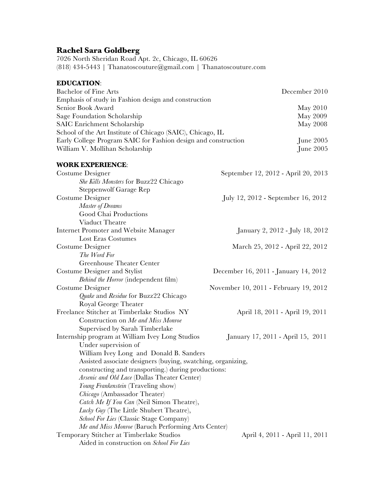## **Rachel Sara Goldberg**

7026 North Sheridan Road Apt. 2c, Chicago, IL 60626 (818) 434-5443 | Thanatoscouture@gmail.com | Thanatoscouture.com

## **EDUCATION**: Bachelor of Fine Arts **December 2010** Emphasis of study in Fashion design and construction Senior Book Award May 2010 Sage Foundation Scholarship May 2009 SAIC Enrichment Scholarship May 2008 School of the Art Institute of Chicago (SAIC), Chicago, IL Early College Program SAIC for Fashion design and construction June 2005 William V. Mollihan Scholarship June 2005 **WORK EXPERIENCE**: Costume Designer September 12, 2012 - April 20, 2013 *She Kills Monsters* for Buzz22 Chicago Steppenwolf Garage Rep Costume Designer July 12, 2012 - September 16, 2012 *Master of Dreams* Good Chai Productions Viaduct Theatre Internet Promoter and Website Manager January 2, 2012 - July 18, 2012 Lost Eras Costumes Costume Designer March 25, 2012 - April 22, 2012 *The Word For* Greenhouse Theater Center Costume Designer and Stylist December 16, 2011 - January 14, 2012 *Behind the Horror* (independent film) Costume Designer November 10, 2011 - February 19, 2012 *Quake* and *Residue* for Buzz22 Chicago Royal George Theater Freelance Stitcher at Timberlake Studios NY April 18, 2011 - April 19, 2011 Construction on *Me and Miss Monroe* Supervised by Sarah Timberlake Internship program at William Ivey Long Studios January 17, 2011 - April 15, 2011 Under supervision of William Ivey Long and Donald B. Sanders Assisted associate designers (buying, swatching, organizing, constructing and transporting.) during productions: *Arsenic and Old Lace* (Dallas Theater Center) *Young Frankenstein* (Traveling show) *Chicago* (Ambassador Theater) *Catch Me If You Can* (Neil Simon Theatre), *Lucky Guy* (The Little Shubert Theatre), *School For Lies* (Classic Stage Company) *Me and Miss Monroe* (Baruch Performing Arts Center) Temporary Stitcher at Timberlake Studios April 4, 2011 - April 11, 2011 Aided in construction on *School For Lies*